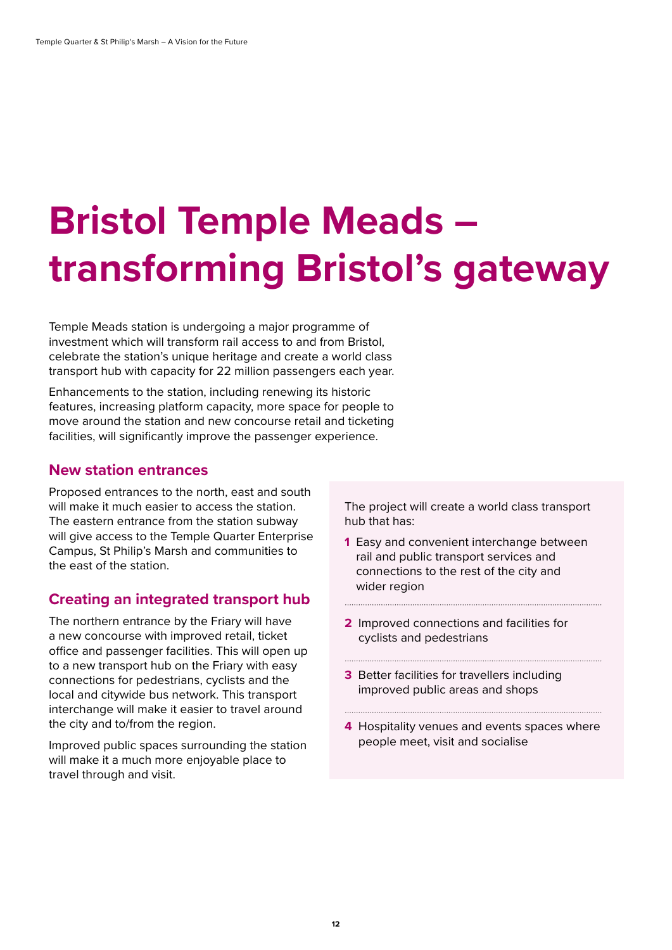## **Bristol Temple Meads – transforming Bristol's gateway**

Temple Meads station is undergoing a major programme of investment which will transform rail access to and from Bristol, celebrate the station's unique heritage and create a world class transport hub with capacity for 22 million passengers each year.

Enhancements to the station, including renewing its historic features, increasing platform capacity, more space for people to move around the station and new concourse retail and ticketing facilities, will significantly improve the passenger experience.

## **New station entrances**

Proposed entrances to the north, east and south will make it much easier to access the station. The eastern entrance from the station subway will give access to the Temple Quarter Enterprise Campus, St Philip's Marsh and communities to the east of the station.

## **Creating an integrated transport hub**

The northern entrance by the Friary will have a new concourse with improved retail, ticket office and passenger facilities. This will open up to a new transport hub on the Friary with easy connections for pedestrians, cyclists and the local and citywide bus network. This transport interchange will make it easier to travel around the city and to/from the region.

Improved public spaces surrounding the station will make it a much more enjoyable place to travel through and visit.

The project will create a world class transport hub that has:

- **1** Easy and convenient interchange between rail and public transport services and connections to the rest of the city and wider region
- **2** Improved connections and facilities for cyclists and pedestrians

**3** Better facilities for travellers including improved public areas and shops

**4** Hospitality venues and events spaces where people meet, visit and socialise